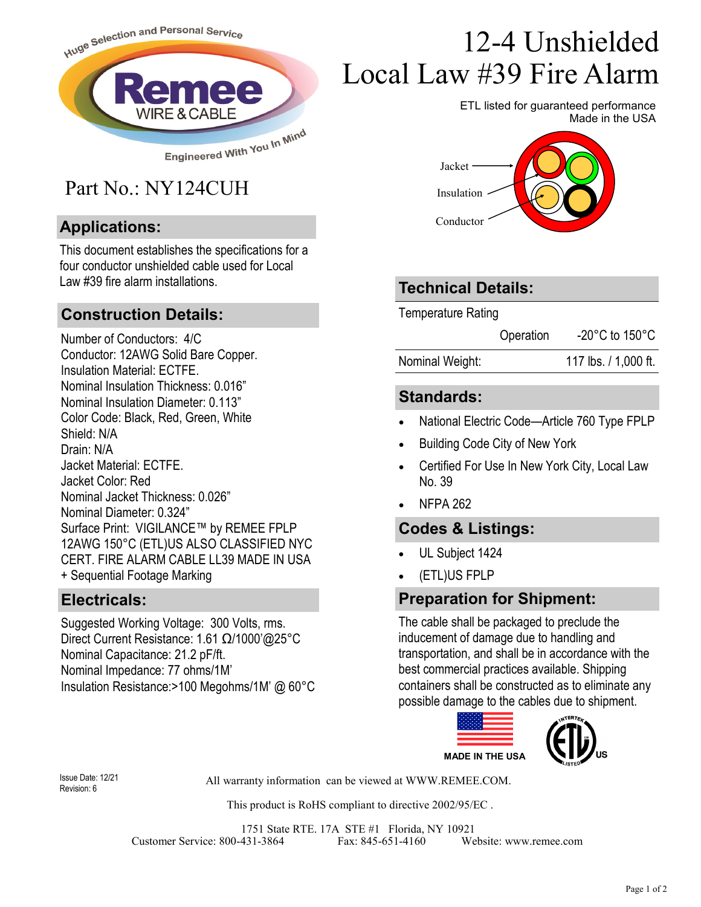

## Part No.: NY124CUH

## **Applications:**

This document establishes the specifications for a four conductor unshielded cable used for Local Law #39 fire alarm installations.

#### **Construction Details:**

Number of Conductors: 4/C Conductor: 12AWG Solid Bare Copper. Insulation Material: ECTFE. Nominal Insulation Thickness: 0.016" Nominal Insulation Diameter: 0.113" Color Code: Black, Red, Green, White Shield: N/A Drain: N/A Jacket Material: ECTFE. Jacket Color: Red Nominal Jacket Thickness: 0.026" Nominal Diameter: 0.324" Surface Print: VIGILANCE™ by REMEE FPLP 12AWG 150°C (ETL)US ALSO CLASSIFIED NYC CERT. FIRE ALARM CABLE LL39 MADE IN USA + Sequential Footage Marking

#### **Electricals:**

Suggested Working Voltage: 300 Volts, rms. Direct Current Resistance: 1.61 Ω/1000'@25°C Nominal Capacitance: 21.2 pF/ft. Nominal Impedance: 77 ohms/1M' Insulation Resistance:>100 Megohms/1M' @ 60°C

# 12-4 Unshielded Local Law #39 Fire Alarm

ETL listed for guaranteed performance Made in the USA



## **Technical Details:**

Temperature Rating

Operation -20°C to 150°C

Nominal Weight: 117 lbs. / 1,000 ft.

## **Standards:**

- National Electric Code—Article 760 Type FPLP
- Building Code City of New York
- Certified For Use In New York City, Local Law No. 39
- NFPA 262

## **Codes & Listings:**

- UL Subject 1424
- (ETL)US FPLP

#### **Preparation for Shipment:**

The cable shall be packaged to preclude the inducement of damage due to handling and transportation, and shall be in accordance with the best commercial practices available. Shipping containers shall be constructed as to eliminate any possible damage to the cables due to shipment.



Revision: 6

All warranty information can be viewed at WWW.REMEE.COM. Issue Date: 12/21

This product is RoHS compliant to directive 2002/95/EC .

1751 State RTE. 17A STE #1 Florida, NY 10921 Customer Service: 800-431-3864 Fax: 845-651-4160 Website: www.remee.com